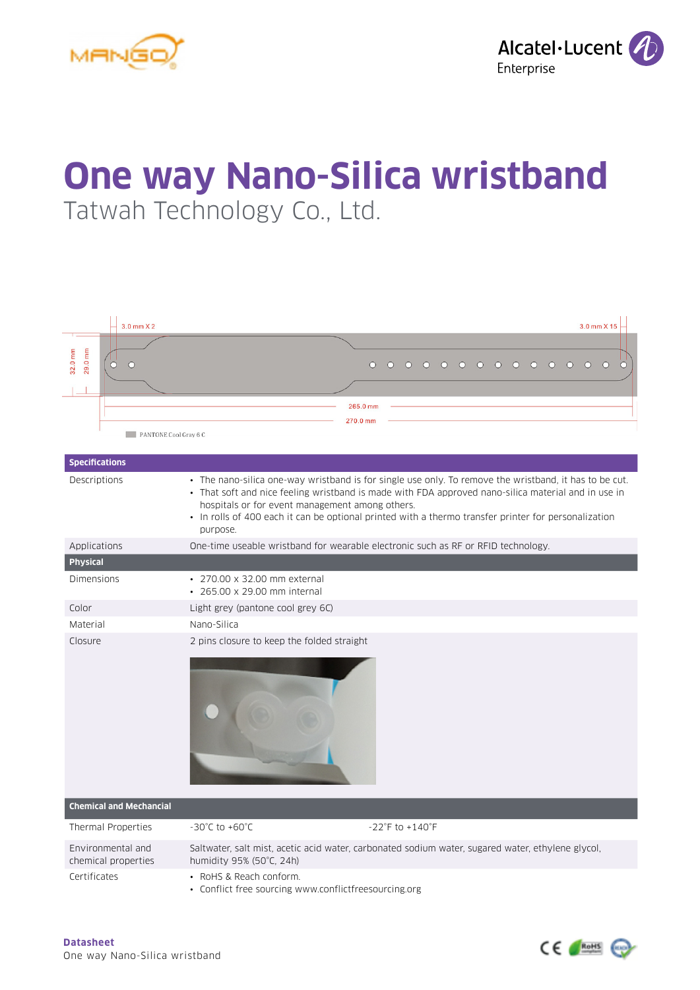



## **One way Nano-Silica wristband** Tatwah Technology Co., Ltd.

| $3.0$ mm $X2$                              | 3.0 mm X 15                                                                                                                                                                                                                                                                                                                                                                          |  |  |  |
|--------------------------------------------|--------------------------------------------------------------------------------------------------------------------------------------------------------------------------------------------------------------------------------------------------------------------------------------------------------------------------------------------------------------------------------------|--|--|--|
|                                            |                                                                                                                                                                                                                                                                                                                                                                                      |  |  |  |
| 29.0 mm<br>32.0 mm<br>$\circ$<br>$\bigcap$ | $\circ$<br>$\circ$<br>$\circ$<br>$\circ$<br>$\circ$<br>$\circ$<br>$\circ$<br>$\circ$<br>$\circ$<br>$\circ$<br>$\circ$<br>$\bigcirc$<br>$\bigcap$<br>$\circ$                                                                                                                                                                                                                          |  |  |  |
| PANTONE Cool Gray 6 C                      | 265.0 mm<br>270.0 mm                                                                                                                                                                                                                                                                                                                                                                 |  |  |  |
| <b>Specifications</b>                      |                                                                                                                                                                                                                                                                                                                                                                                      |  |  |  |
| Descriptions                               | • The nano-silica one-way wristband is for single use only. To remove the wristband, it has to be cut.<br>• That soft and nice feeling wristband is made with FDA approved nano-silica material and in use in<br>hospitals or for event management among others.<br>• In rolls of 400 each it can be optional printed with a thermo transfer printer for personalization<br>purpose. |  |  |  |
| Applications                               | One-time useable wristband for wearable electronic such as RF or RFID technology.                                                                                                                                                                                                                                                                                                    |  |  |  |
| <b>Physical</b>                            |                                                                                                                                                                                                                                                                                                                                                                                      |  |  |  |
| Dimensions                                 | • 270.00 x 32.00 mm external<br>• 265.00 x 29.00 mm internal                                                                                                                                                                                                                                                                                                                         |  |  |  |
| Color                                      | Light grey (pantone cool grey 6C)                                                                                                                                                                                                                                                                                                                                                    |  |  |  |
| Material                                   | Nano-Silica                                                                                                                                                                                                                                                                                                                                                                          |  |  |  |
| Closure                                    | 2 pins closure to keep the folded straight                                                                                                                                                                                                                                                                                                                                           |  |  |  |
| <b>Chemical and Mechancial</b>             |                                                                                                                                                                                                                                                                                                                                                                                      |  |  |  |
| Thermal Properties                         | $-30^{\circ}$ C to $+60^{\circ}$ C<br>$-22^{\circ}$ F to $+140^{\circ}$ F                                                                                                                                                                                                                                                                                                            |  |  |  |
| Environmental and<br>chemical properties   | Saltwater, salt mist, acetic acid water, carbonated sodium water, sugared water, ethylene glycol,<br>humidity 95% (50°C, 24h)                                                                                                                                                                                                                                                        |  |  |  |
| Certificates                               | • RoHS & Reach conform.<br>• Conflict free sourcing www.conflictfreesourcing.org                                                                                                                                                                                                                                                                                                     |  |  |  |